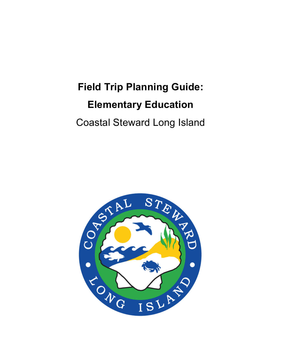# **Field Trip Planning Guide: Elementary Education** Coastal Steward Long Island

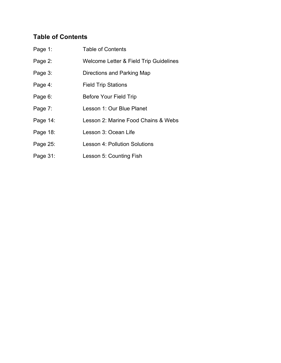# **Table of Contents**

| Page 1:  | <b>Table of Contents</b>               |
|----------|----------------------------------------|
| Page 2:  | Welcome Letter & Field Trip Guidelines |
| Page 3:  | Directions and Parking Map             |
| Page 4:  | <b>Field Trip Stations</b>             |
| Page 6:  | <b>Before Your Field Trip</b>          |
| Page 7:  | Lesson 1: Our Blue Planet              |
| Page 14: | Lesson 2: Marine Food Chains & Webs    |
| Page 18: | Lesson 3: Ocean Life                   |
| Page 25: | <b>Lesson 4: Pollution Solutions</b>   |
| Page 31: | Lesson 5: Counting Fish                |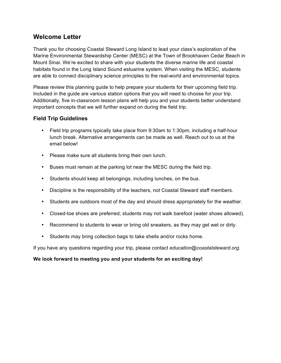# **Welcome Letter**

Thank you for choosing Coastal Steward Long Island to lead your class's exploration of the Marine Environmental Stewardship Center (MESC) at the Town of Brookhaven Cedar Beach in Mount Sinai. We're excited to share with your students the diverse marine life and coastal habitats found in the Long Island Sound estuarine system. When visiting the MESC, students are able to connect disciplinary science principles to the real-world and environmental topics.

Please review this planning guide to help prepare your students for their upcoming field trip. Included in the guide are various station options that you will need to choose for your trip. Additionally, five in-classroom lesson plans will help you and your students better understand important concepts that we will further expand on during the field trip.

# **Field Trip Guidelines**

- Field trip programs typically take place from 9:30am to 1:30pm, including a half-hour lunch break. Alternative arrangements can be made as well. Reach out to us at the email below!
- Please make sure all students bring their own lunch.
- Buses must remain at the parking lot near the MESC during the field trip.
- Students should keep all belongings, including lunches, on the bus.
- Discipline is the responsibility of the teachers, not Coastal Steward staff members.
- Students are outdoors most of the day and should dress appropriately for the weather.
- Closed-toe shoes are preferred; students may not walk barefoot (water shoes allowed).
- Recommend to students to wear or bring old sneakers, as they may get wet or dirty.
- Students may bring collection bags to take shells and/or rocks home.

If you have any questions regarding your trip, please contact *education@coastalsteward.org.*

## **We look forward to meeting you and your students for an exciting day!**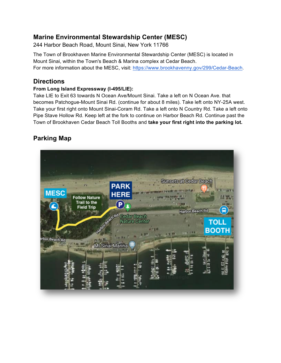# **Marine Environmental Stewardship Center (MESC)**

244 Harbor Beach Road, Mount Sinai, New York 11766

The Town of Brookhaven Marine Environmental Stewardship Center (MESC) is located in Mount Sinai, within the Town's Beach & Marina complex at Cedar Beach. For more information about the MESC, visit: https://www.brookhavenny.gov/299/Cedar-Beach.

# **Directions**

## **From Long Island Expressway (I-495/LIE):**

Take LIE to Exit 63 towards N Ocean Ave/Mount Sinai. Take a left on N Ocean Ave. that becomes Patchogue-Mount Sinai Rd. (continue for about 8 miles). Take left onto NY-25A west. Take your first right onto Mount Sinai-Coram Rd. Take a left onto N Country Rd. Take a left onto Pipe Stave Hollow Rd. Keep left at the fork to continue on Harbor Beach Rd. Continue past the Town of Brookhaven Cedar Beach Toll Booths and **take your first right into the parking lot.**

# **Parking Map**

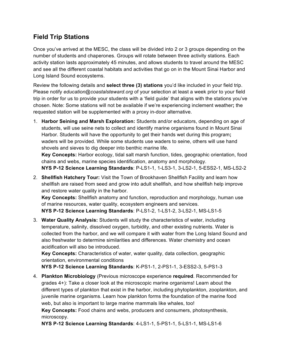# **Field Trip Stations**

Once you've arrived at the MESC, the class will be divided into 2 or 3 groups depending on the number of students and chaperones. Groups will rotate between three activity stations. Each activity station lasts approximately 45 minutes, and allows students to travel around the MESC and see all the different coastal habitats and activities that go on in the Mount Sinai Harbor and Long Island Sound ecosystems.

Review the following details and **select three (3) stations** you'd like included in your field trip. Please notify *education@coastalsteward.org* of your selection at least a week prior to your field trip in order for us to provide your students with a 'field guide' that aligns with the stations you've chosen. Note: Some stations will not be available if we're experiencing inclement weather**;** the requested station will be supplemented with a proxy in-door alternative.

1. **Harbor Seining and Marsh Exploration:** Students and/or educators, depending on age of students, will use seine nets to collect and identify marine organisms found in Mount Sinai Harbor. Students will have the opportunity to get their hands wet during this program**;** waders will be provided. While some students use waders to seine, others will use hand shovels and sieves to dig deeper into benthic marine life.

**Key Concepts:** Harbor ecology, tidal salt marsh function, tides, geographic orientation, food chains and webs, marine species identification, anatomy and morphology.

- **NYS P-12 Science Learning Standards**: P-LS1-1, 1-LS3-1, 3-LS2-1, 5-ESS2-1, MS-LS2-2
- 2. **Shellfish Hatchery Tour:** Visit the Town of Brookhaven Shellfish Facility and learn how shellfish are raised from seed and grow into adult shellfish, and how shellfish help improve and restore water quality in the harbor.

**Key Concepts:** Shellfish anatomy and function, reproduction and morphology, human use of marine resources, water quality, ecosystem engineers and services.

**NYS P-12 Science Learning Standards**: P-LS1-2, 1-LS1-2, 3-LS2-1, MS-LS1-5

3. **Water Quality Analysis:** Students will study the characteristics of water, including temperature, salinity, dissolved oxygen, turbidity, and other existing nutrients. Water is collected from the harbor, and we will compare it with water from the Long Island Sound and also freshwater to determine similarities and differences. Water chemistry and ocean acidification will also be introduced.

**Key Concepts:** Characteristics of water, water quality, data collection, geographic orientation, environmental conditions

**NYS P-12 Science Learning Standards**: K-PS1-1, 2-PS1-1, 3-ESS2-3, 5-PS1-3

4. **Plankton Microbiology** (Previous microscope experience **required**. Recommended for grades 4+): Take a closer look at the microscopic marine organisms! Learn about the different types of plankton that exist in the harbor, including phytoplankton, zooplankton, and juvenile marine organisms. Learn how plankton forms the foundation of the marine food web, but also is important to large marine mammals like whales, too! **Key Concepts:** Food chains and webs, producers and consumers, photosynthesis, microscopy.

**NYS P-12 Science Learning Standards**: 4-LS1-1, 5-PS1-1, 5-LS1-1, MS-LS1-6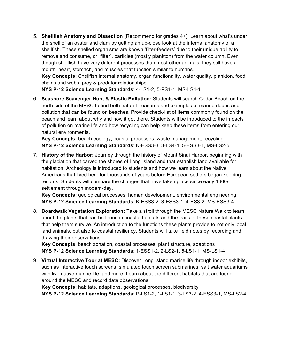5. **Shellfish Anatomy and Dissection** (Recommend for grades 4+): Learn about what's under the shell of an oyster and clam by getting an up-close look at the internal anatomy of a shellfish. These shelled organisms are known 'filter-feeders' due to their unique ability to remove and consume, or "filter", particles (mostly plankton) from the water column. Even though shellfish have very different processes than most other animals, they still have a mouth, heart, stomach, and muscles that function similar to humans.

**Key Concepts:** Shellfish internal anatomy, organ functionality, water quality, plankton, food chains and webs, prey & predator relationships.

**NYS P-12 Science Learning Standards**: 4-LS1-2, 5-PS1-1, MS-LS4-1

6. **Seashore Scavenger Hunt & Plastic Pollution:** Students will search Cedar Beach on the north side of the MESC to find both natural treasures and examples of marine debris and pollution that can be found on beaches. Provide check-list of items commonly found on the beach and learn about why and how it got there. Students will be introduced to the impacts of pollution on marine life and how recycling can help keep these items from entering our natural environments.

**Key Concepts:** beach ecology, coastal processes, waste management, recycling **NYS P-12 Science Learning Standards**: K-ESS3-3, 3-LS4-4, 5-ESS3-1, MS-LS2-5

7. **History of the Harbor:** Journey through the history of Mount Sinai Harbor, beginning with the glaciation that carved the shores of Long Island and that establish land available for habitation. Archeology is introduced to students and how we learn about the Native Americans that lived here for thousands of years before European settlers began keeping records. Students will compare the changes that have taken place since early 1600s settlement through modern-day.

**Key Concepts:** geological processes, human development, environmental engineering **NYS P-12 Science Learning Standards**: K-ESS3-2, 3-ESS3-1, 4-ES3-2, MS-ESS3-4

8. **Boardwalk Vegetation Exploration:** Take a stroll through the MESC Nature Walk to learn about the plants that can be found in coastal habitats and the traits of these coastal plants that help them survive. An introduction to the functions these plants provide to not only local land animals, but also to coastal resiliency. Students will take field notes by recording and drawing their observations.

**Key Concepts**: beach zonation, coastal processes, plant structure, adaptions **NYS P-12 Science Learning Standards**: 1-ESS1-2, 2-LS2-1, 5-LS1-1, MS-LS1-4

9. **Virtual Interactive Tour at MESC:** Discover Long Island marine life through indoor exhibits, such as interactive touch screens, simulated touch screen submarines, salt water aquariums with live native marine life, and more. Learn about the different habitats that are found around the MESC and record data observations.

**Key Concepts:** habitats, adaptions, geological processes, biodiversity **NYS P-12 Science Learning Standards**: P-LS1-2, 1-LS1-1, 3-LS3-2, 4-ESS3-1, MS-LS2-4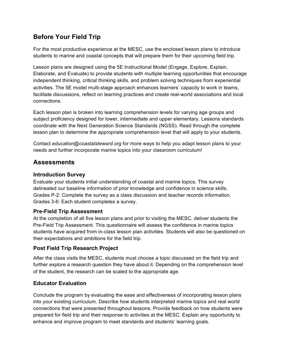# **Before Your Field Trip**

For the most productive experience at the MESC, use the enclosed lesson plans to introduce students to marine and coastal concepts that will prepare them for their upcoming field trip.

Lesson plans are designed using the 5E Instructional Model (Engage, Explore, Explain, Elaborate, and Evaluate) to provide students with multiple learning opportunities that encourage independent thinking, critical thinking skills, and problem solving techniques from experiential activities. The 5E model multi-stage approach enhances learners' capacity to work in teams, facilitate discussions, reflect on learning practices and create real-world associations and local connections.

Each lesson plan is broken into learning comprehension levels for varying age groups and subject proficiency designed for lower, intermediate and upper elementary. Lessons standards coordinate with the Next Generation Science Standards (NGSS). Read through the complete lesson plan to determine the appropriate comprehension level that will apply to your students.

Contact *education@coastalsteward.org* for more ways to help you adapt lesson plans to your needs and further incorporate marine topics into your classroom curriculum!

# **Assessments**

# **Introduction Survey**

Evaluate your students initial understanding of coastal and marine topics. This survey delineated our baseline information of prior knowledge and confidence in science skills. Grades P-2: Complete the survey as a class discussion and teacher records information. Grades 3-6: Each student completes a survey.

# **Pre-Field Trip Assessment**

At the completion of all five lesson plans and prior to visiting the MESC, deliver students the Pre-Field Trip Assessment. This questionnaire will assess the confidence in marine topics students have acquired from in-class lesson plan activities. Students will also be questioned on their expectations and ambitions for the field trip.

# **Post Field Trip Research Project**

After the class visits the MESC, students must choose a topic discussed on the field trip and further explore a research question they have about it. Depending on the comprehension level of the student, the research can be scaled to the appropriate age.

# **Educator Evaluation**

Conclude the program by evaluating the ease and effectiveness of incorporating lesson plans into your existing curriculum. Describe how students interpreted marine topics and real world connections that were presented throughout lessons. Provide feedback on how students were prepared for field trip and their response to activities at the MESC. Explain any opportunity to enhance and improve program to meet standards and students' learning goals.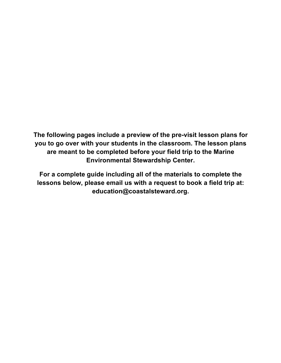**The following pages include a preview of the pre-visit lesson plans for you to go over with your students in the classroom. The lesson plans are meant to be completed before your field trip to the Marine Environmental Stewardship Center.**

**For a complete guide including all of the materials to complete the lessons below, please email us with a request to book a field trip at: education@coastalsteward.org.**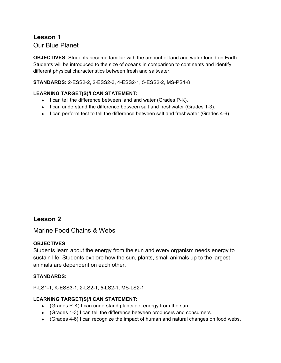# **Lesson 1**

Our Blue Planet

**OBJECTIVES:** Students become familiar with the amount of land and water found on Earth. Students will be introduced to the size of oceans in comparison to continents and identify different physical characteristics between fresh and saltwater.

**STANDARDS:** 2-ESS2-2, 2-ESS2-3, 4-ESS2-1, 5-ESS2-2, MS-PS1-8

## **LEARNING TARGET(S)/I CAN STATEMENT:**

- I can tell the difference between land and water (Grades P-K).
- I can understand the difference between salt and freshwater (Grades 1-3).
- I can perform test to tell the difference between salt and freshwater (Grades 4-6).

# **Lesson 2**

Marine Food Chains & Webs

# **OBJECTIVES:**

Students learn about the energy from the sun and every organism needs energy to sustain life. Students explore how the sun, plants, small animals up to the largest animals are dependent on each other.

## **STANDARDS:**

P-LS1-1, K-ESS3-1, 2-LS2-1, 5-LS2-1, MS-LS2-1

## **LEARNING TARGET(S)/I CAN STATEMENT:**

- (Grades P-K) I can understand plants get energy from the sun.
- (Grades 1-3) I can tell the difference between producers and consumers.
- (Grades 4-6) I can recognize the impact of human and natural changes on food webs.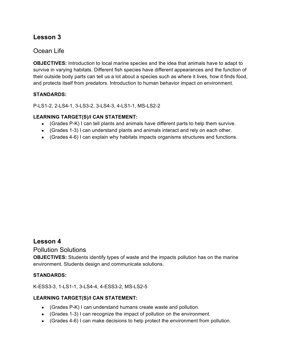# **Lesson 3**

# Ocean Life

**OBJECTIVES:** Introduction to local marine species and the idea that animals have to adapt to survive in varying habitats. Different fish species have different appearances and the function of their outside body parts can tell us a lot about a species such as where it lives, how it finds food, and protects itself from predators. Introduction to human behavior impact on environment.

## **STANDARDS:**

P-LS1-2, 2-LS4-1, 3-LS3-2, 3-LS4-3, 4-LS1-1, MS-LS2-2

## **LEARNING TARGET(S)/I CAN STATEMENT:**

- (Grades P-K) I can tell plants and animals have different parts to help them survive.
- (Grades 1-3) I can understand plants and animals interact and rely on each other.
- (Grades 4-6) I can explain why habitats impacts organisms structures and functions.

# **Lesson 4**

## Pollution Solutions

**OBJECTIVES:** Students identify types of waste and the impacts pollution has on the marine environment. Students design and communicate solutions.

#### **STANDARDS:**

#### K-ESS3-3, 1-LS1-1, 3-LS4-4, 4-ESS3-2, MS-LS2-5

#### **LEARNING TARGET(S)/I CAN STATEMENT:**

- (Grades P-K) I can understand humans create waste and pollution.
- (Grades 1-3) I can recognize the impact of pollution on the environment.
- (Grades  $4-6$ ) I can make decisions to help protect the environment from pollution.